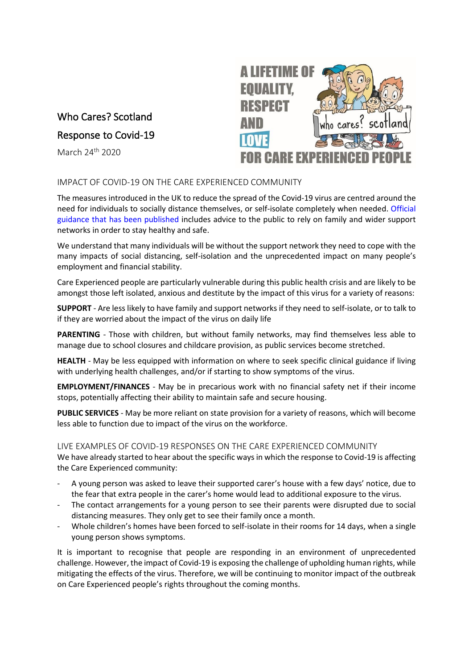# Who Cares? Scotland

Response to Covid-19

March 24<sup>th</sup> 2020



# IMPACT OF COVID-19 ON THE CARE EXPERIENCED COMMUNITY

The measures introduced in the UK to reduce the spread of the Covid-19 virus are centred around the need for individuals to socially distance themselves, or self-isolate completely when needed. [Official](https://www.gov.uk/coronavirus) [guidance that has been published](https://www.gov.uk/coronavirus) includes advice to the public to rely on family and wider support networks in order to stay healthy and safe.

We understand that many individuals will be without the support network they need to cope with the many impacts of social distancing, self-isolation and the unprecedented impact on many people's employment and financial stability.

Care Experienced people are particularly vulnerable during this public health crisis and are likely to be amongst those left isolated, anxious and destitute by the impact of this virus for a variety of reasons:

**SUPPORT** - Are less likely to have family and support networks if they need to self-isolate, or to talk to if they are worried about the impact of the virus on daily life

PARENTING - Those with children, but without family networks, may find themselves less able to manage due to school closures and childcare provision, as public services become stretched.

**HEALTH** - May be less equipped with information on where to seek specific clinical guidance if living with underlying health challenges, and/or if starting to show symptoms of the virus.

**EMPLOYMENT/FINANCES** - May be in precarious work with no financial safety net if their income stops, potentially affecting their ability to maintain safe and secure housing.

**PUBLIC SERVICES** - May be more reliant on state provision for a variety of reasons, which will become less able to function due to impact of the virus on the workforce.

### LIVE EXAMPLES OF COVID-19 RESPONSES ON THE CARE EXPERIENCED COMMUNITY

We have already started to hear about the specific ways in which the response to Covid-19 is affecting the Care Experienced community:

- A young person was asked to leave their supported carer's house with a few days' notice, due to the fear that extra people in the carer's home would lead to additional exposure to the virus.
- The contact arrangements for a young person to see their parents were disrupted due to social distancing measures. They only get to see their family once a month.
- Whole children's homes have been forced to self-isolate in their rooms for 14 days, when a single young person shows symptoms.

It is important to recognise that people are responding in an environment of unprecedented challenge. However, the impact of Covid-19 is exposing the challenge of upholding human rights, while mitigating the effects of the virus. Therefore, we will be continuing to monitor impact of the outbreak on Care Experienced people's rights throughout the coming months.